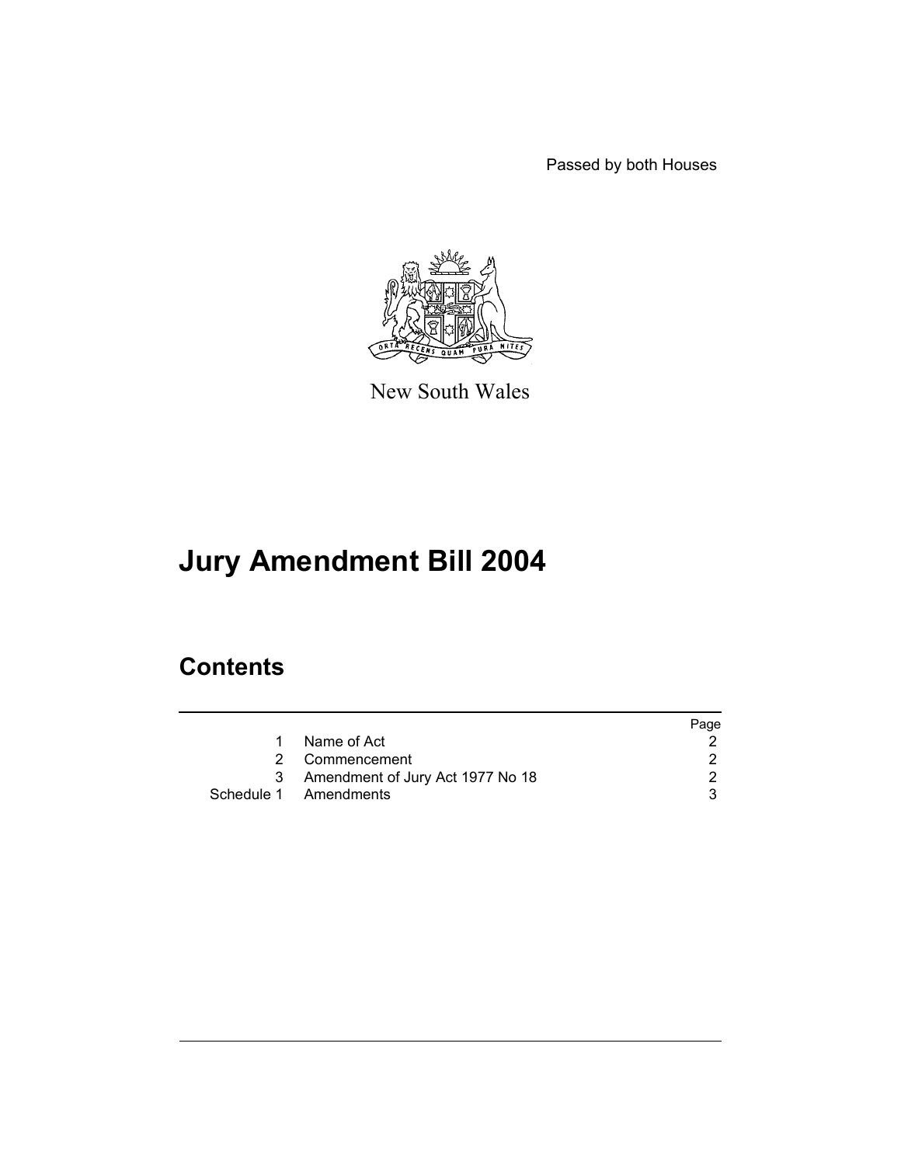Passed by both Houses



New South Wales

# **Jury Amendment Bill 2004**

## **Contents**

|   |                                    | Page |
|---|------------------------------------|------|
|   | Name of Act                        |      |
| 2 | Commencement                       |      |
|   | 3 Amendment of Jury Act 1977 No 18 |      |
|   | Schedule 1 Amendments              |      |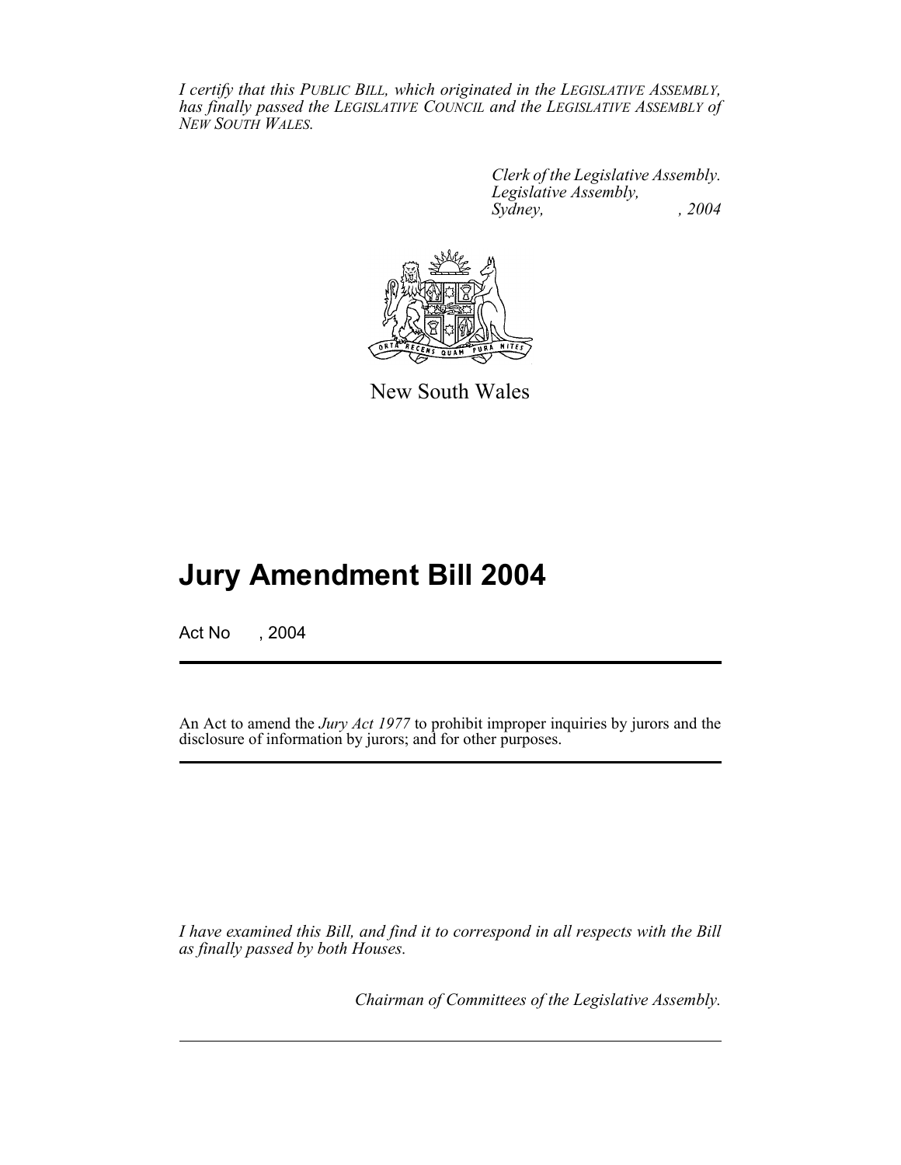*I certify that this PUBLIC BILL, which originated in the LEGISLATIVE ASSEMBLY, has finally passed the LEGISLATIVE COUNCIL and the LEGISLATIVE ASSEMBLY of NEW SOUTH WALES.*

> *Clerk of the Legislative Assembly. Legislative Assembly, Sydney, , 2004*



New South Wales

## **Jury Amendment Bill 2004**

Act No , 2004

An Act to amend the *Jury Act 1977* to prohibit improper inquiries by jurors and the disclosure of information by jurors; and for other purposes.

*I have examined this Bill, and find it to correspond in all respects with the Bill as finally passed by both Houses.*

*Chairman of Committees of the Legislative Assembly.*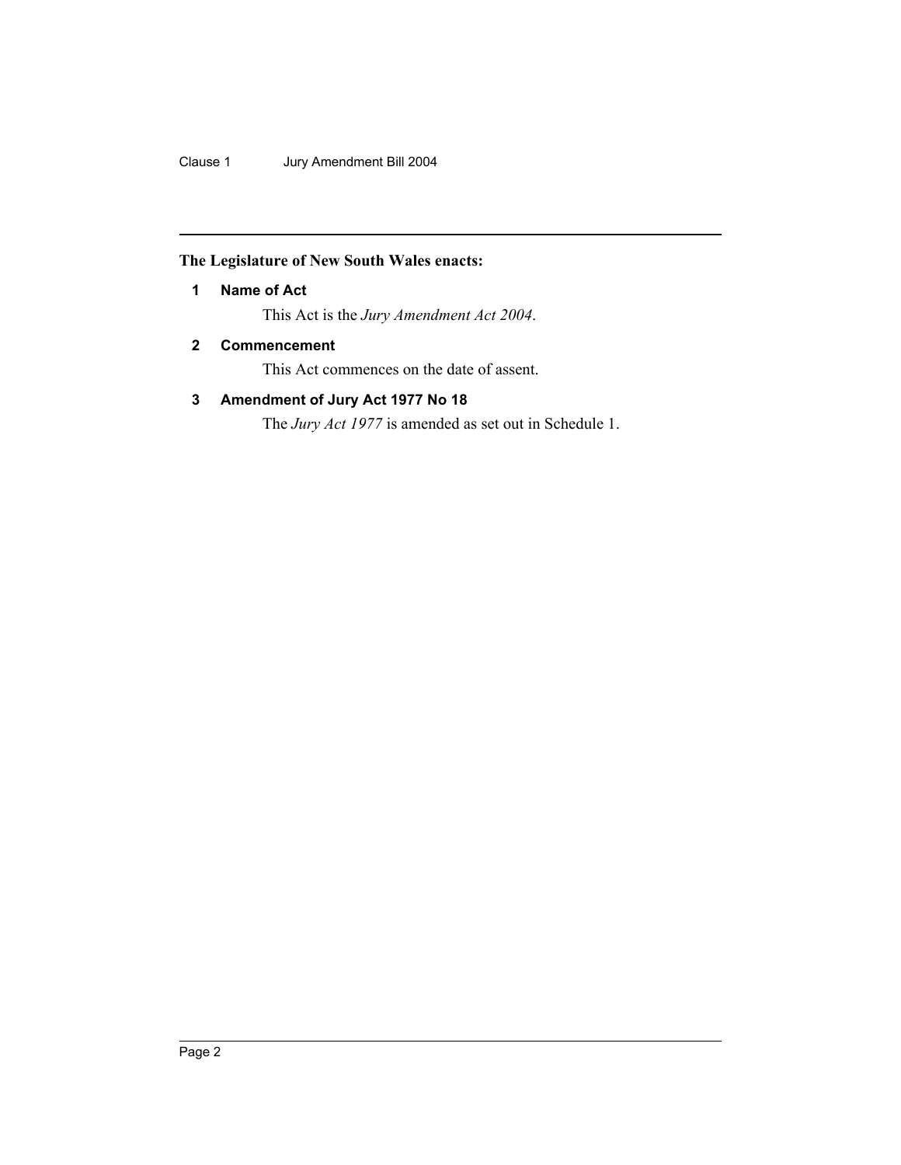Clause 1 Jury Amendment Bill 2004

### **The Legislature of New South Wales enacts:**

#### **1 Name of Act**

This Act is the *Jury Amendment Act 2004*.

#### **2 Commencement**

This Act commences on the date of assent.

### **3 Amendment of Jury Act 1977 No 18**

The *Jury Act 1977* is amended as set out in Schedule 1.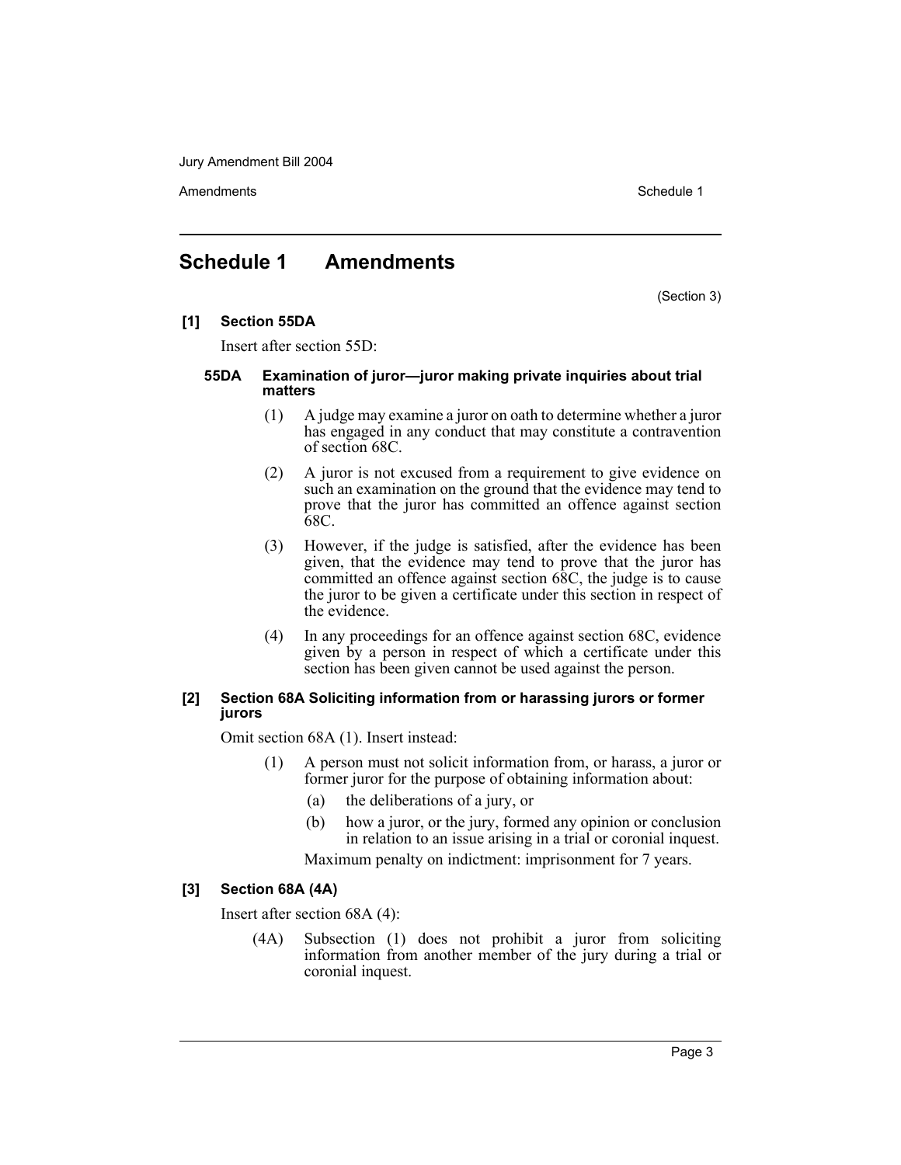Jury Amendment Bill 2004

Amendments **Schedule 1** and the set of the set of the set of the set of the set of the set of the set of the set of the set of the set of the set of the set of the set of the set of the set of the set of the set of the set

## **Schedule 1 Amendments**

(Section 3)

#### **[1] Section 55DA**

Insert after section 55D:

#### **55DA Examination of juror—juror making private inquiries about trial matters**

- (1) A judge may examine a juror on oath to determine whether a juror has engaged in any conduct that may constitute a contravention of section 68C.
- (2) A juror is not excused from a requirement to give evidence on such an examination on the ground that the evidence may tend to prove that the juror has committed an offence against section 68C.
- (3) However, if the judge is satisfied, after the evidence has been given, that the evidence may tend to prove that the juror has committed an offence against section 68C, the judge is to cause the juror to be given a certificate under this section in respect of the evidence.
- (4) In any proceedings for an offence against section 68C, evidence given by a person in respect of which a certificate under this section has been given cannot be used against the person.

#### **[2] Section 68A Soliciting information from or harassing jurors or former jurors**

Omit section 68A (1). Insert instead:

- (1) A person must not solicit information from, or harass, a juror or former juror for the purpose of obtaining information about:
	- (a) the deliberations of a jury, or
	- (b) how a juror, or the jury, formed any opinion or conclusion in relation to an issue arising in a trial or coronial inquest.

Maximum penalty on indictment: imprisonment for 7 years.

#### **[3] Section 68A (4A)**

Insert after section 68A (4):

(4A) Subsection (1) does not prohibit a juror from soliciting information from another member of the jury during a trial or coronial inquest.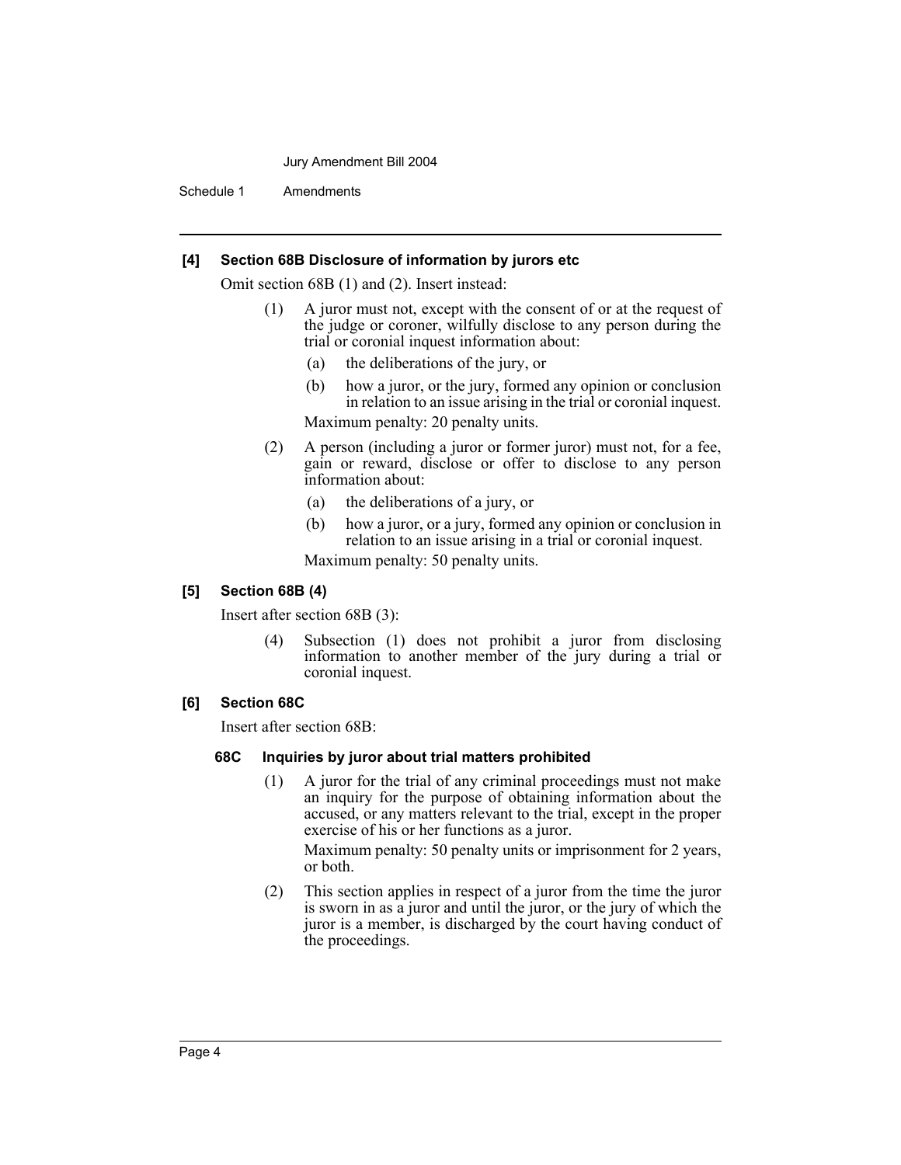#### Jury Amendment Bill 2004

Schedule 1 Amendments

#### **[4] Section 68B Disclosure of information by jurors etc**

Omit section 68B (1) and (2). Insert instead:

- (1) A juror must not, except with the consent of or at the request of the judge or coroner, wilfully disclose to any person during the trial or coronial inquest information about:
	- (a) the deliberations of the jury, or
	- (b) how a juror, or the jury, formed any opinion or conclusion in relation to an issue arising in the trial or coronial inquest.

Maximum penalty: 20 penalty units.

- (2) A person (including a juror or former juror) must not, for a fee, gain or reward, disclose or offer to disclose to any person information about:
	- (a) the deliberations of a jury, or
	- (b) how a juror, or a jury, formed any opinion or conclusion in relation to an issue arising in a trial or coronial inquest.

Maximum penalty: 50 penalty units.

#### **[5] Section 68B (4)**

Insert after section 68B (3):

(4) Subsection (1) does not prohibit a juror from disclosing information to another member of the jury during a trial or coronial inquest.

#### **[6] Section 68C**

Insert after section 68B:

#### **68C Inquiries by juror about trial matters prohibited**

(1) A juror for the trial of any criminal proceedings must not make an inquiry for the purpose of obtaining information about the accused, or any matters relevant to the trial, except in the proper exercise of his or her functions as a juror.

Maximum penalty: 50 penalty units or imprisonment for 2 years, or both.

(2) This section applies in respect of a juror from the time the juror is sworn in as a juror and until the juror, or the jury of which the juror is a member, is discharged by the court having conduct of the proceedings.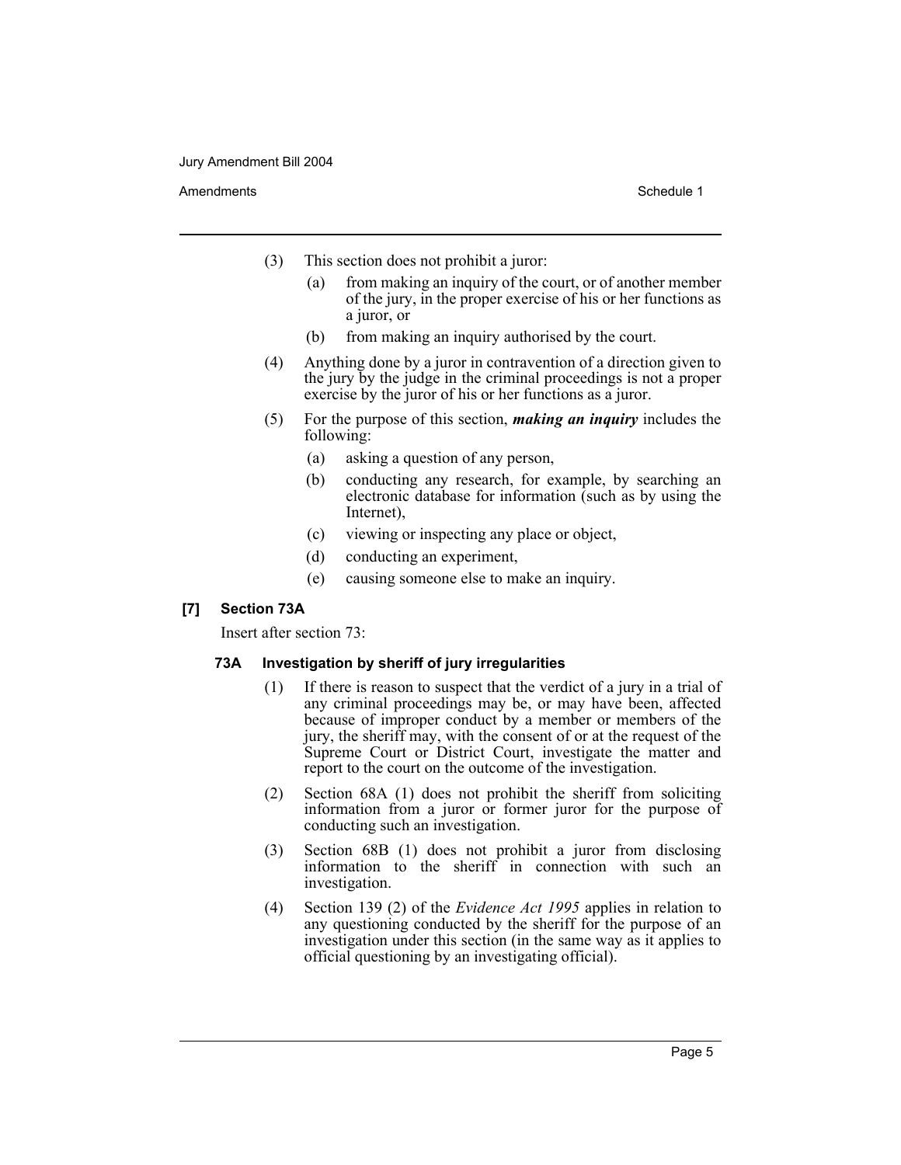#### Amendments **Schedule 1** and the set of the set of the set of the set of the set of the set of the set of the set of the set of the set of the set of the set of the set of the set of the set of the set of the set of the set

- (3) This section does not prohibit a juror:
	- (a) from making an inquiry of the court, or of another member of the jury, in the proper exercise of his or her functions as a juror, or
	- (b) from making an inquiry authorised by the court.
- (4) Anything done by a juror in contravention of a direction given to the jury by the judge in the criminal proceedings is not a proper exercise by the juror of his or her functions as a juror.
- (5) For the purpose of this section, *making an inquiry* includes the following:
	- (a) asking a question of any person,
	- (b) conducting any research, for example, by searching an electronic database for information (such as by using the Internet),
	- (c) viewing or inspecting any place or object,
	- (d) conducting an experiment,
	- (e) causing someone else to make an inquiry.

#### **[7] Section 73A**

Insert after section 73:

#### **73A Investigation by sheriff of jury irregularities**

- (1) If there is reason to suspect that the verdict of a jury in a trial of any criminal proceedings may be, or may have been, affected because of improper conduct by a member or members of the jury, the sheriff may, with the consent of or at the request of the Supreme Court or District Court, investigate the matter and report to the court on the outcome of the investigation.
- (2) Section 68A (1) does not prohibit the sheriff from soliciting information from a juror or former juror for the purpose of conducting such an investigation.
- (3) Section 68B (1) does not prohibit a juror from disclosing information to the sheriff in connection with such an investigation.
- (4) Section 139 (2) of the *Evidence Act 1995* applies in relation to any questioning conducted by the sheriff for the purpose of an investigation under this section (in the same way as it applies to official questioning by an investigating official).